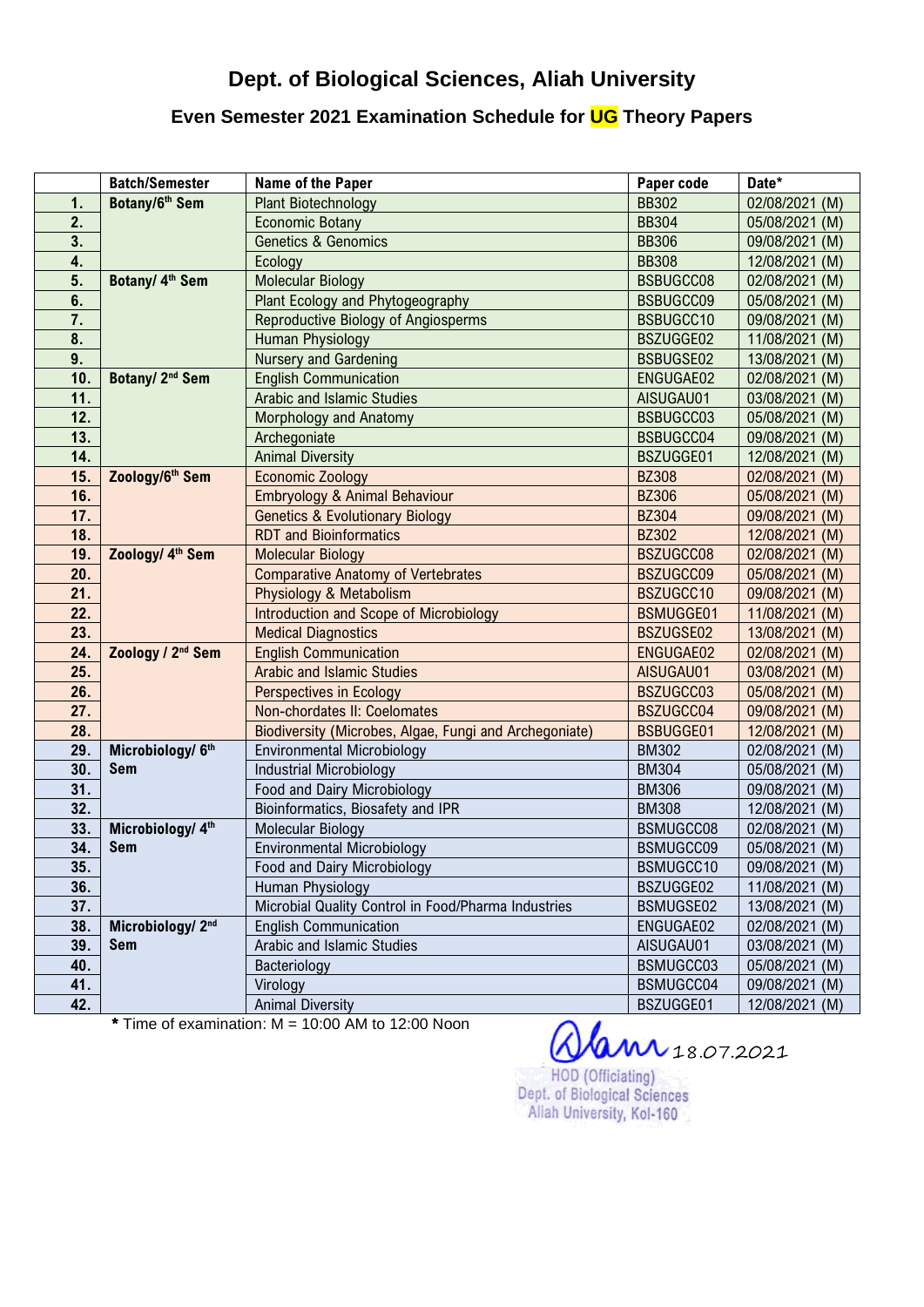## Dept. of Biological Sciences, Aliah University

## Even Semester 2021 Examination Schedule for UG Theory Papers

|     | <b>Batch/Semester</b>         | Name of the Paper                                      | Paper code       | Date*          |
|-----|-------------------------------|--------------------------------------------------------|------------------|----------------|
| 1.  | Botany/6 <sup>th</sup> Sem    | <b>Plant Biotechnology</b>                             | <b>BB302</b>     | 02/08/2021 (M) |
| 2.  |                               | <b>Economic Botany</b>                                 | <b>BB304</b>     | 05/08/2021 (M) |
| 3.  |                               | <b>Genetics &amp; Genomics</b>                         | <b>BB306</b>     | 09/08/2021 (M) |
| 4.  |                               | Ecology                                                | <b>BB308</b>     | 12/08/2021 (M) |
| 5.  | Botany/ 4 <sup>th</sup> Sem   | <b>Molecular Biology</b>                               | BSBUGCC08        | 02/08/2021 (M) |
| 6.  |                               | Plant Ecology and Phytogeography                       | BSBUGCC09        | 05/08/2021 (M) |
| 7.  |                               | <b>Reproductive Biology of Angiosperms</b>             | BSBUGCC10        | 09/08/2021 (M) |
| 8.  |                               | <b>Human Physiology</b>                                | BSZUGGE02        | 11/08/2021 (M) |
| 9.  |                               | <b>Nursery and Gardening</b>                           | <b>BSBUGSE02</b> | 13/08/2021 (M) |
| 10. | Botany/ 2 <sup>nd</sup> Sem   | <b>English Communication</b>                           | ENGUGAE02        | 02/08/2021 (M) |
| 11. |                               | <b>Arabic and Islamic Studies</b>                      | AISUGAU01        | 03/08/2021 (M) |
| 12. |                               | Morphology and Anatomy                                 | BSBUGCC03        | 05/08/2021 (M) |
| 13. |                               | Archegoniate                                           | BSBUGCC04        | 09/08/2021 (M) |
| 14. |                               | <b>Animal Diversity</b>                                | BSZUGGE01        | 12/08/2021 (M) |
| 15. | Zoology/6th Sem               | <b>Economic Zoology</b>                                | <b>BZ308</b>     | 02/08/2021 (M) |
| 16. |                               | Embryology & Animal Behaviour                          | <b>BZ306</b>     | 05/08/2021 (M) |
| 17. |                               | <b>Genetics &amp; Evolutionary Biology</b>             | <b>BZ304</b>     | 09/08/2021 (M) |
| 18. |                               | <b>RDT</b> and <b>Bioinformatics</b>                   | <b>BZ302</b>     | 12/08/2021 (M) |
| 19. | Zoology/ 4 <sup>th</sup> Sem  | <b>Molecular Biology</b>                               | BSZUGCC08        | 02/08/2021 (M) |
| 20. |                               | <b>Comparative Anatomy of Vertebrates</b>              | BSZUGCC09        | 05/08/2021 (M) |
| 21. |                               | Physiology & Metabolism                                | BSZUGCC10        | 09/08/2021 (M) |
| 22. |                               | Introduction and Scope of Microbiology                 | <b>BSMUGGE01</b> | 11/08/2021 (M) |
| 23. |                               | <b>Medical Diagnostics</b>                             | BSZUGSE02        | 13/08/2021 (M) |
| 24. | Zoology / 2 <sup>nd</sup> Sem | <b>English Communication</b>                           | ENGUGAE02        | 02/08/2021 (M) |
| 25. |                               | <b>Arabic and Islamic Studies</b>                      | AISUGAU01        | 03/08/2021 (M) |
| 26. |                               | <b>Perspectives in Ecology</b>                         | BSZUGCC03        | 05/08/2021 (M) |
| 27. |                               | Non-chordates II: Coelomates                           | BSZUGCC04        | 09/08/2021 (M) |
| 28. |                               | Biodiversity (Microbes, Algae, Fungi and Archegoniate) | <b>BSBUGGE01</b> | 12/08/2021 (M) |
| 29. | Microbiology/ 6th             | <b>Environmental Microbiology</b>                      | <b>BM302</b>     | 02/08/2021 (M) |
| 30. | Sem                           | <b>Industrial Microbiology</b>                         | <b>BM304</b>     | 05/08/2021 (M) |
| 31. |                               | Food and Dairy Microbiology                            | <b>BM306</b>     | 09/08/2021 (M) |
| 32. |                               | Bioinformatics, Biosafety and IPR                      | <b>BM308</b>     | 12/08/2021 (M) |
| 33. | Microbiology/ 4th             | <b>Molecular Biology</b>                               | BSMUGCC08        | 02/08/2021 (M) |
| 34. | <b>Sem</b>                    | <b>Environmental Microbiology</b>                      | BSMUGCC09        | 05/08/2021 (M) |
| 35. |                               | Food and Dairy Microbiology                            | BSMUGCC10        | 09/08/2021 (M) |
| 36. |                               | Human Physiology                                       | BSZUGGE02        | 11/08/2021 (M) |
| 37. |                               | Microbial Quality Control in Food/Pharma Industries    | BSMUGSE02        | 13/08/2021 (M) |
| 38. | Microbiology/ 2nd             | <b>English Communication</b>                           | ENGUGAE02        | 02/08/2021 (M) |
| 39. | Sem                           | Arabic and Islamic Studies                             | AISUGAU01        | 03/08/2021 (M) |
| 40. |                               | Bacteriology                                           | BSMUGCC03        | 05/08/2021 (M) |
| 41. |                               | Virology                                               | BSMUGCC04        | 09/08/2021 (M) |
| 42. |                               | <b>Animal Diversity</b>                                | BSZUGGE01        | 12/08/2021 (M) |

 $*$  Time of examination:  $M = 10:00$  AM to 12:00 Noon

 $18.07.2021$ HOD (Officiating) Dept. of Biological Sciences Aliah University, Kol-160